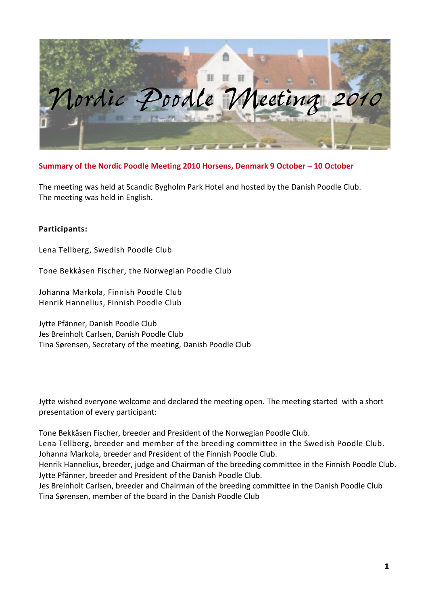

# **Summary of the Nordic Poodle Meeting 2010 Horsens, Denmark 9 October – 10 October**

The meeting was held at Scandic Bygholm Park Hotel and hosted by the Danish Poodle Club. The meeting was held in English.

## **Participants:**

Lena Tellberg, Swedish Poodle Club

Tone Bekkåsen Fischer, the Norwegian Poodle Club

Johanna Markola, Finnish Poodle Club Henrik Hannelius, Finnish Poodle Club

Jytte Pfänner, Danish Poodle Club Jes Breinholt Carlsen, Danish Poodle Club Tina Sørensen, Secretary of the meeting, Danish Poodle Club

Jytte wished everyone welcome and declared the meeting open. The meeting started with a short presentation of every participant:

Tone Bekkåsen Fischer, breeder and President of the Norwegian Poodle Club. Lena Tellberg, breeder and member of the breeding committee in the Swedish Poodle Club. Johanna Markola, breeder and President of the Finnish Poodle Club. Henrik Hannelius, breeder, judge and Chairman of the breeding committee in the Finnish Poodle Club. Jytte Pfänner, breeder and President of the Danish Poodle Club. Jes Breinholt Carlsen, breeder and Chairman of the breeding committee in the Danish Poodle Club Tina Sørensen, member of the board in the Danish Poodle Club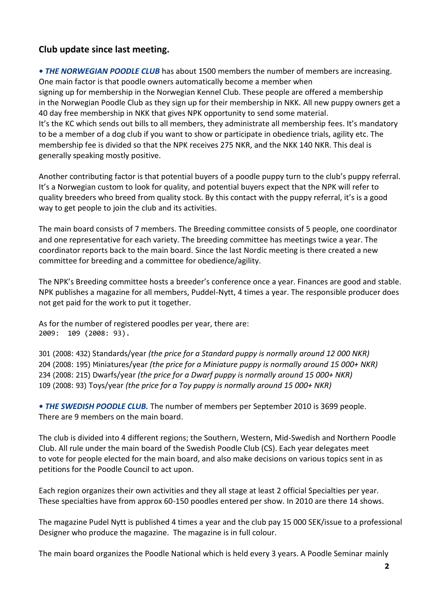# **Club update since last meeting.**

*• THE NORWEGIAN POODLE CLUB* has about 1500 members the number of members are increasing. One main factor is that poodle owners automatically become a member when signing up for membership in the Norwegian Kennel Club. These people are offered a membership in the Norwegian Poodle Club as they sign up for their membership in NKK. All new puppy owners get a 40 day free membership in NKK that gives NPK opportunity to send some material. It's the KC which sends out bills to all members, they administrate all membership fees. It's mandatory to be a member of a dog club if you want to show or participate in obedience trials, agility etc. The membership fee is divided so that the NPK receives 275 NKR, and the NKK 140 NKR. This deal is generally speaking mostly positive.

Another contributing factor is that potential buyers of a poodle puppy turn to the club's puppy referral. It's a Norwegian custom to look for quality, and potential buyers expect that the NPK will refer to quality breeders who breed from quality stock. By this contact with the puppy referral, it's is a good way to get people to join the club and its activities.

The main board consists of 7 members. The Breeding committee consists of 5 people, one coordinator and one representative for each variety. The breeding committee has meetings twice a year. The coordinator reports back to the main board. Since the last Nordic meeting is there created a new committee for breeding and a committee for obedience/agility.

The NPK's Breeding committee hosts a breeder's conference once a year. Finances are good and stable. NPK publishes a magazine for all members, Puddel-Nytt, 4 times a year. The responsible producer does not get paid for the work to put it together.

As for the number of registered poodles per year, there are: 2009: 109 (2008: 93).

301 (2008: 432) Standards/year *(the price for a Standard puppy is normally around 12 000 NKR)* 204 (2008: 195) Miniatures/year *(the price for a Miniature puppy is normally around 15 000+ NKR)* 234 (2008: 215) Dwarfs/year *(the price for a Dwarf puppy is normally around 15 000+ NKR)* 109 (2008: 93) Toys/year *(the price for a Toy puppy is normally around 15 000+ NKR)*

*• THE SWEDISH POODLE CLUB.* The number of members per September 2010 is 3699 people. There are 9 members on the main board.

The club is divided into 4 different regions; the Southern, Western, Mid-Swedish and Northern Poodle Club. All rule under the main board of the Swedish Poodle Club (CS). Each year delegates meet to vote for people elected for the main board, and also make decisions on various topics sent in as petitions for the Poodle Council to act upon.

Each region organizes their own activities and they all stage at least 2 official Specialties per year. These specialties have from approx 60-150 poodles entered per show. In 2010 are there 14 shows.

The magazine Pudel Nytt is published 4 times a year and the club pay 15 000 SEK/issue to a professional Designer who produce the magazine. The magazine is in full colour.

The main board organizes the Poodle National which is held every 3 years. A Poodle Seminar mainly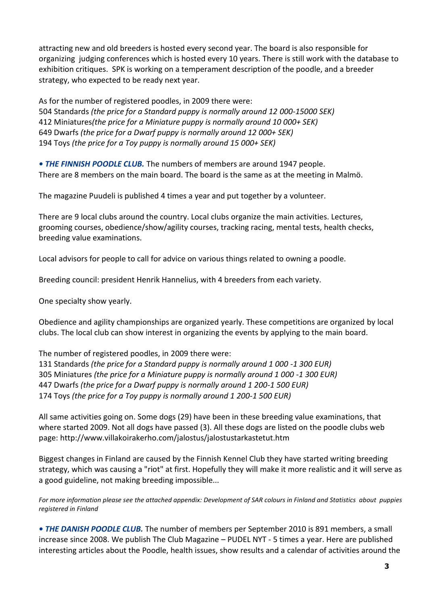attracting new and old breeders is hosted every second year. The board is also responsible for organizing judging conferences which is hosted every 10 years. There is still work with the database to exhibition critiques. SPK is working on a temperament description of the poodle, and a breeder strategy, who expected to be ready next year.

As for the number of registered poodles, in 2009 there were: Standards *(the price for a Standard puppy is normally around 12 000-15000 SEK)* Miniatures*(the price for a Miniature puppy is normally around 10 000+ SEK)* Dwarfs *(the price for a Dwarf puppy is normally around 12 000+ SEK)* Toys *(the price for a Toy puppy is normally around 15 000+ SEK)*

*• THE FINNISH POODLE CLUB.* The numbers of members are around 1947 people. There are 8 members on the main board. The board is the same as at the meeting in Malmö.

The magazine Puudeli is published 4 times a year and put together by a volunteer.

There are 9 local clubs around the country. Local clubs organize the main activities. Lectures, grooming courses, obedience/show/agility courses, tracking racing, mental tests, health checks, breeding value examinations.

Local advisors for people to call for advice on various things related to owning a poodle.

Breeding council: president Henrik Hannelius, with 4 breeders from each variety.

One specialty show yearly.

Obedience and agility championships are organized yearly. These competitions are organized by local clubs. The local club can show interest in organizing the events by applying to the main board.

The number of registered poodles, in 2009 there were: Standards *(the price for a Standard puppy is normally around 1 000 -1 300 EUR)* Miniatures *(the price for a Miniature puppy is normally around 1 000 -1 300 EUR)* Dwarfs *(the price for a Dwarf puppy is normally around 1 200-1 500 EUR)* Toys *(the price for a Toy puppy is normally around 1 200-1 500 EUR)*

All same activities going on. Some dogs (29) have been in these breeding value examinations, that where started 2009. Not all dogs have passed (3). All these dogs are listed on the poodle clubs web page:<http://www.villakoirakerho.com/jalostus/jalostustarkastetut.htm>

Biggest changes in Finland are caused by the Finnish Kennel Club they have started writing breeding strategy, which was causing a "riot" at first. Hopefully they will make it more realistic and it will serve as a good guideline, not making breeding impossible...

*For more information please see the attached appendix: Development of SAR colours in Finland and Statistics about puppies registered in Finland* 

*• THE DANISH POODLE CLUB.* The number of members per September 2010 is 891 members, a small increase since 2008. We publish The Club Magazine – PUDEL NYT - 5 times a year. Here are published interesting articles about the Poodle, health issues, show results and a calendar of activities around the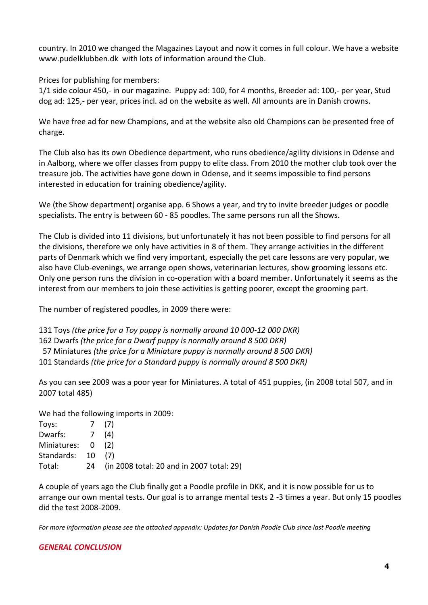country. In 2010 we changed the Magazines Layout and now it comes in full colour. We have a website [www.pudelklubben.dk](http://www.pudelklubben.dk./) with lots of information around the Club.

Prices for publishing for members:

1/1 side colour 450,- in our magazine. Puppy ad: 100, for 4 months, Breeder ad: 100,- per year, Stud dog ad: 125,- per year, prices incl. ad on the website as well. All amounts are in Danish crowns.

We have free ad for new Champions, and at the website also old Champions can be presented free of charge.

The Club also has its own Obedience department, who runs obedience/agility divisions in Odense and in Aalborg, where we offer classes from puppy to elite class. From 2010 the mother club took over the treasure job. The activities have gone down in Odense, and it seems impossible to find persons interested in education for training obedience/agility.

We (the Show department) organise app. 6 Shows a year, and try to invite breeder judges or poodle specialists. The entry is between 60 - 85 poodles. The same persons run all the Shows.

The Club is divided into 11 divisions, but unfortunately it has not been possible to find persons for all the divisions, therefore we only have activities in 8 of them. They arrange activities in the different parts of Denmark which we find very important, especially the pet care lessons are very popular, we also have Club-evenings, we arrange open shows, veterinarian lectures, show grooming lessons etc. Only one person runs the division in co-operation with a board member. Unfortunately it seems as the interest from our members to join these activities is getting poorer, except the grooming part.

The number of registered poodles, in 2009 there were:

 Toys *(the price for a Toy puppy is normally around 10 000-12 000 DKR)* Dwarfs *(the price for a Dwarf puppy is normally around 8 500 DKR)* Miniatures *(the price for a Miniature puppy is normally around 8 500 DKR)* Standards *(the price for a Standard puppy is normally around 8 500 DKR)*

As you can see 2009 was a poor year for Miniatures. A total of 451 puppies, (in 2008 total 507, and in 2007 total 485)

We had the following imports in 2009:

| Toys:             | 7 (7) |                                              |
|-------------------|-------|----------------------------------------------|
| Dwarfs: 7 (4)     |       |                                              |
| Miniatures: 0 (2) |       |                                              |
| Standards: 10 (7) |       |                                              |
| Total:            |       | 24 (in 2008 total: 20 and in 2007 total: 29) |

A couple of years ago the Club finally got a Poodle profile in DKK, and it is now possible for us to arrange our own mental tests. Our goal is to arrange mental tests 2 -3 times a year. But only 15 poodles did the test 2008-2009.

*For more information please see the attached appendix: Updates for Danish Poodle Club since last Poodle meeting*

## *GENERAL CONCLUSION*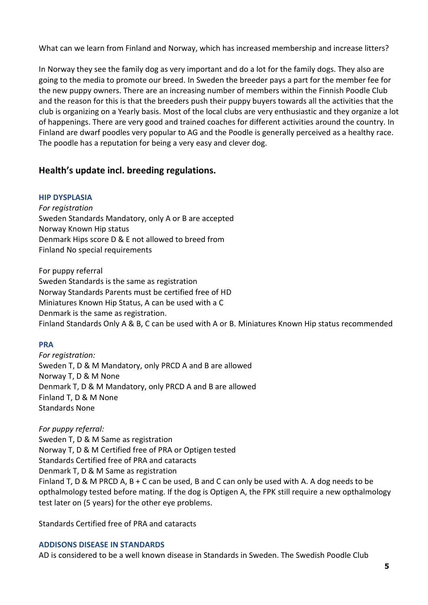What can we learn from Finland and Norway, which has increased membership and increase litters?

In Norway they see the family dog as very important and do a lot for the family dogs. They also are going to the media to promote our breed. In Sweden the breeder pays a part for the member fee for the new puppy owners. There are an increasing number of members within the Finnish Poodle Club and the reason for this is that the breeders push their puppy buyers towards all the activities that the club is organizing on a Yearly basis. Most of the local clubs are very enthusiastic and they organize a lot of happenings. There are very good and trained coaches for different activities around the country. In Finland are dwarf poodles very popular to AG and the Poodle is generally perceived as a healthy race. The poodle has a reputation for being a very easy and clever dog.

# **Health's update incl. breeding regulations.**

## **HIP DYSPLASIA**

*For registration* Sweden Standards Mandatory, only A or B are accepted Norway Known Hip status Denmark Hips score D & E not allowed to breed from Finland No special requirements

For puppy referral Sweden Standards is the same as registration Norway Standards Parents must be certified free of HD Miniatures Known Hip Status, A can be used with a C Denmark is the same as registration. Finland Standards Only A & B, C can be used with A or B. Miniatures Known Hip status recommended

## **PRA**

*For registration:* Sweden T, D & M Mandatory, only PRCD A and B are allowed Norway T, D & M None Denmark T, D & M Mandatory, only PRCD A and B are allowed Finland T, D & M None Standards None

*For puppy referral:* Sweden T, D & M Same as registration Norway T, D & M Certified free of PRA or Optigen tested Standards Certified free of PRA and cataracts Denmark T, D & M Same as registration Finland T, D & M PRCD A,  $B + C$  can be used, B and C can only be used with A. A dog needs to be opthalmology tested before mating. If the dog is Optigen A, the FPK still require a new opthalmology test later on (5 years) for the other eye problems.

Standards Certified free of PRA and cataracts

## **ADDISONS DISEASE IN STANDARDS**

AD is considered to be a well known disease in Standards in Sweden. The Swedish Poodle Club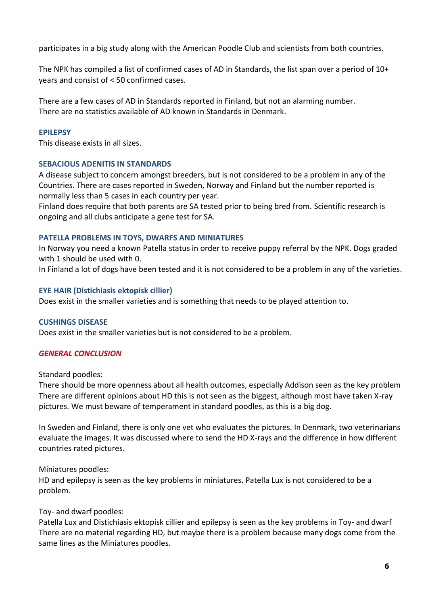participates in a big study along with the American Poodle Club and scientists from both countries.

The NPK has compiled a list of confirmed cases of AD in Standards, the list span over a period of 10+ years and consist of < 50 confirmed cases.

There are a few cases of AD in Standards reported in Finland, but not an alarming number. There are no statistics available of AD known in Standards in Denmark.

## **EPILEPSY**

This disease exists in all sizes.

#### **SEBACIOUS ADENITIS IN STANDARDS**

A disease subject to concern amongst breeders, but is not considered to be a problem in any of the Countries. There are cases reported in Sweden, Norway and Finland but the number reported is normally less than 5 cases in each country per year.

Finland does require that both parents are SA tested prior to being bred from. Scientific research is ongoing and all clubs anticipate a gene test for SA.

#### **PATELLA PROBLEMS IN TOYS, DWARFS AND MINIATURES**

In Norway you need a known Patella status in order to receive puppy referral by the NPK. Dogs graded with 1 should be used with 0.

In Finland a lot of dogs have been tested and it is not considered to be a problem in any of the varieties.

#### **EYE HAIR (Distichiasis ektopisk cillier)**

Does exist in the smaller varieties and is something that needs to be played attention to.

#### **CUSHINGS DISEASE**

Does exist in the smaller varieties but is not considered to be a problem.

#### *GENERAL CONCLUSION*

Standard poodles:

There should be more openness about all health outcomes, especially Addison seen as the key problem There are different opinions about HD this is not seen as the biggest, although most have taken X-ray pictures. We must beware of temperament in standard poodles, as this is a big dog.

In Sweden and Finland, there is only one vet who evaluates the pictures. In Denmark, two veterinarians evaluate the images. It was discussed where to send the HD X-rays and the difference in how different countries rated pictures.

#### Miniatures poodles:

HD and epilepsy is seen as the key problems in miniatures. Patella Lux is not considered to be a problem.

Toy- and dwarf poodles:

Patella Lux and Distichiasis ektopisk cillier and epilepsy is seen as the key problems in Toy- and dwarf There are no material regarding HD, but maybe there is a problem because many dogs come from the same lines as the Miniatures poodles.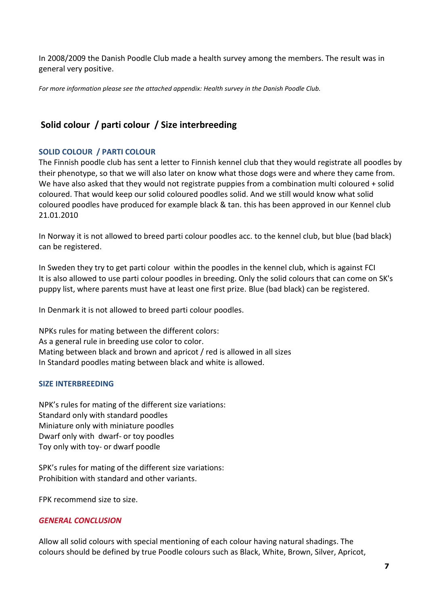In 2008/2009 the Danish Poodle Club made a health survey among the members. The result was in general very positive.

*For more information please see the attached appendix: Health survey in the Danish Poodle Club.*

# **Solid colour / parti colour / Size interbreeding**

# **SOLID COLOUR / PARTI COLOUR**

The Finnish poodle club has sent a letter to Finnish kennel club that they would registrate all poodles by their phenotype, so that we will also later on know what those dogs were and where they came from. We have also asked that they would not registrate puppies from a combination multi coloured + solid coloured. That would keep our solid coloured poodles solid. And we still would know what solid coloured poodles have produced for example black & tan. this has been approved in our Kennel club 21.01.2010

In Norway it is not allowed to breed parti colour poodles acc. to the kennel club, but blue (bad black) can be registered.

In Sweden they try to get parti colour within the poodles in the kennel club, which is against FCI It is also allowed to use parti colour poodles in breeding. Only the solid colours that can come on SK's puppy list, where parents must have at least one first prize. Blue (bad black) can be registered.

In Denmark it is not allowed to breed parti colour poodles.

NPKs rules for mating between the different colors: As a general rule in breeding use color to color. Mating between black and brown and apricot / red is allowed in all sizes In Standard poodles mating between black and white is allowed.

## **SIZE INTERBREEDING**

NPK's rules for mating of the different size variations: Standard only with standard poodles Miniature only with miniature poodles Dwarf only with dwarf- or toy poodles Toy only with toy- or dwarf poodle

SPK's rules for mating of the different size variations: Prohibition with standard and other variants.

FPK recommend size to size.

# *GENERAL CONCLUSION*

Allow all solid colours with special mentioning of each colour having natural shadings. The colours should be defined by true Poodle colours such as Black, White, Brown, Silver, Apricot,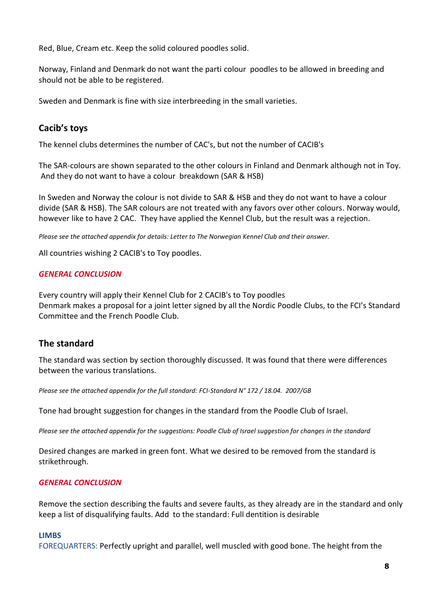Red, Blue, Cream etc. Keep the solid coloured poodles solid.

Norway, Finland and Denmark do not want the parti colour poodles to be allowed in breeding and should not be able to be registered.

Sweden and Denmark is fine with size interbreeding in the small varieties.

# **Cacib's toys**

The kennel clubs determines the number of CAC's, but not the number of CACIB's

The SAR-colours are shown separated to the other colours in Finland and Denmark although not in Toy. And they do not want to have a colour breakdown (SAR & HSB)

In Sweden and Norway the colour is not divide to SAR & HSB and they do not want to have a colour divide (SAR & HSB). The SAR colours are not treated with any favors over other colours. Norway would, however like to have 2 CAC. They have applied the Kennel Club, but the result was a rejection.

*Please see the attached appendix for details: Letter to The Norwegian Kennel Club and their answer.*

All countries wishing 2 CACIB's to Toy poodles.

## *GENERAL CONCLUSION*

Every country will apply their Kennel Club for 2 CACIB's to Toy poodles Denmark makes a proposal for a joint letter signed by all the Nordic Poodle Clubs, to the FCI's Standard Committee and the French Poodle Club.

# **The standard**

The standard was section by section thoroughly discussed. It was found that there were differences between the various translations.

*Please see the attached appendix for the full standard: FCI-Standard N° 172 / 18.04. 2007/GB*

Tone had brought suggestion for changes in the standard from the Poodle Club of Israel.

*Please see the attached appendix for the suggestions: Poodle Club of Israel suggestion for changes in the standard*

Desired changes are marked in green font. What we desired to be removed from the standard is strikethrough.

## *GENERAL CONCLUSION*

Remove the section describing the faults and severe faults, as they already are in the standard and only keep a list of disqualifying faults. Add to the standard: Full dentition is desirable

## **LIMBS**

FOREQUARTERS: Perfectly upright and parallel, well muscled with good bone. The height from the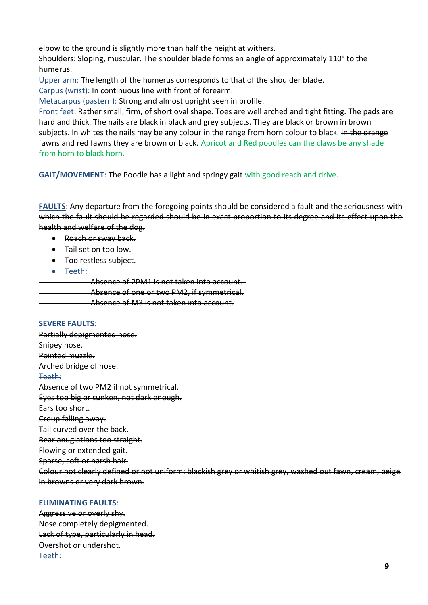elbow to the ground is slightly more than half the height at withers.

Shoulders: Sloping, muscular. The shoulder blade forms an angle of approximately 110° to the humerus.

Upper arm: The length of the humerus corresponds to that of the shoulder blade.

Carpus (wrist): In continuous line with front of forearm.

Metacarpus (pastern): Strong and almost upright seen in profile.

Front feet: Rather small, firm, of short oval shape. Toes are well arched and tight fitting. The pads are hard and thick. The nails are black in black and grey subjects. They are black or brown in brown subjects. In whites the nails may be any colour in the range from horn colour to black. In the orange fawns and red fawns they are brown or black. Apricot and Red poodles can the claws be any shade from horn to black horn.

**GAIT/MOVEMENT**: The Poodle has a light and springy gait with good reach and drive.

**FAULTS**: Any departure from the foregoing points should be considered a fault and the seriousness with which the fault should be regarded should be in exact proportion to its degree and its effect upon the health and welfare of the dog.

- **Roach or sway back.**
- Tail set on too low.
- **•** Too restless subject.
- **•** Teeth:

Absence of 2PM1 is not taken into account.

Absence of one or two PM2, if symmetrical.

Absence of M3 is not taken into account.

## **SEVERE FAULTS**:

Partially depigmented nose. Snipey nose. Pointed muzzle. Arched bridge of nose. Teeth: Absence of two PM2 if not symmetrical. Eyes too big or sunken, not dark enough. Ears too short. Croup falling away. Tail curved over the back. Rear anuglations too straight. Flowing or extended gait. Sparse, soft or harsh hair. Colour not clearly defined or not uniform: blackish grey or whitish grey, washed out fawn, cream, beige in browns or very dark brown.

## **ELIMINATING FAULTS**:

Aggressive or overly shy. Nose completely depigmented. Lack of type, particularly in head. Overshot or undershot. Teeth: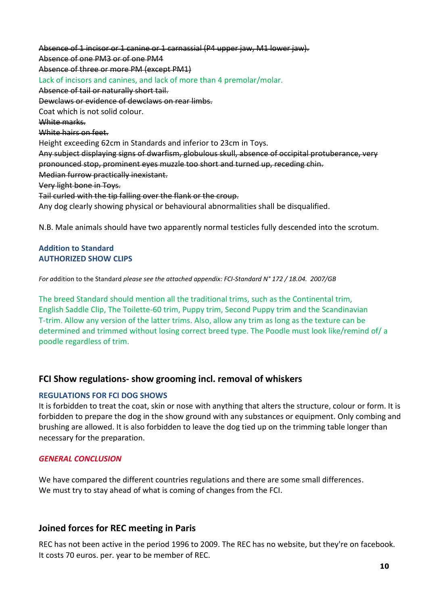Absence of 1 incisor or 1 canine or 1 carnassial (P4 upper jaw, M1 lower jaw). Absence of one PM3 or of one PM4 Absence of three or more PM (except PM1) Lack of incisors and canines, and lack of more than 4 premolar/molar. Absence of tail or naturally short tail. Dewclaws or evidence of dewclaws on rear limbs. Coat which is not solid colour. White marks. White hairs on feet. Height exceeding 62cm in Standards and inferior to 23cm in Toys. Any subject displaying signs of dwarfism, globulous skull, absence of occipital protuberance, very pronounced stop, prominent eyes muzzle too short and turned up, receding chin. Median furrow practically inexistant. Very light bone in Toys. Tail curled with the tip falling over the flank or the croup. Any dog clearly showing physical or behavioural abnormalities shall be disqualified.

N.B. Male animals should have two apparently normal testicles fully descended into the scrotum.

# **Addition to Standard AUTHORIZED SHOW CLIPS**

*For a*ddition to the Standard *please see the attached appendix: FCI-Standard N° 172 / 18.04. 2007/GB*

The breed Standard should mention all the traditional trims, such as the Continental trim, English Saddle Clip, The Toilette-60 trim, Puppy trim, Second Puppy trim and the Scandinavian T-trim. Allow any version of the latter trims. Also, allow any trim as long as the texture can be determined and trimmed without losing correct breed type. The Poodle must look like/remind of/ a poodle regardless of trim.

# **FCI Show regulations- show grooming incl. removal of whiskers**

# **REGULATIONS FOR FCI DOG SHOWS**

It is forbidden to treat the coat, skin or nose with anything that alters the structure, colour or form. It is forbidden to prepare the dog in the show ground with any substances or equipment. Only combing and brushing are allowed. It is also forbidden to leave the dog tied up on the trimming table longer than necessary for the preparation.

# *GENERAL CONCLUSION*

We have compared the different countries regulations and there are some small differences. We must try to stay ahead of what is coming of changes from the FCI.

# **Joined forces for REC meeting in Paris**

REC has not been active in the period 1996 to 2009. The REC has no website, but they're on facebook. It costs 70 euros. per. year to be member of REC.